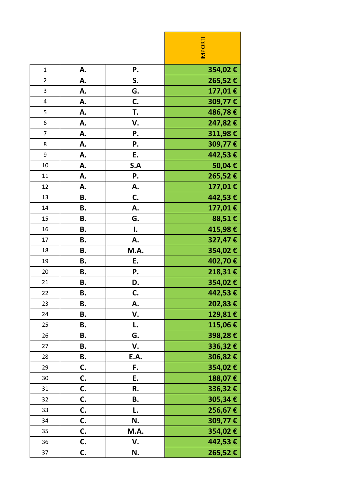|                |           |      | <b>INPORTI</b> |
|----------------|-----------|------|----------------|
| $\mathbf{1}$   | А.        | Ρ.   | 354,02€        |
| $\overline{2}$ | А.        | S.   | 265,52€        |
| 3              | А.        | G.   | 177,01€        |
| 4              | А.        | C.   | 309,77€        |
| 5              | А.        | T.   | 486,78€        |
| 6              | А.        | V.   | 247,82€        |
| $\overline{7}$ | А.        | Ρ.   | 311,98€        |
| 8              | А.        | Ρ.   | 309,77€        |
| 9              | А.        | E.   | 442,53€        |
| 10             | А.        | S.A  | 50,04€         |
| 11             | А.        | Ρ.   | 265,52€        |
| 12             | А.        | А.   | 177,01€        |
| 13             | Β.        | C.   | 442,53 €       |
| 14             | Β.        | Α.   | 177,01€        |
| 15             | В.        | G.   | 88,51€         |
| 16             | <b>B.</b> | I.   | 415,98€        |
| 17             | Β.        | Α.   | 327,47€        |
| 18             | Β.        | M.A. | 354,02€        |
| 19             | Β.        | E.   | 402,70€        |
| 20             | <b>B.</b> | Ρ.   | 218,31€        |
| 21             | В.        | D.   | 354,02€        |
| 22             | Β.        | C.   | 442,53€        |
| 23             | <b>B.</b> | А.   | 202,83 €       |
| 24             | В.        | V.   | 129,81€        |
| 25             | В.        | L.   | 115,06€        |
| 26             | В.        | G.   | 398,28€        |
| 27             | В.        | V.   | 336,32€        |
| 28             | В.        | E.A. | 306,82€        |
| 29             | C.        | F.   | 354,02€        |
| 30             | C.        | E.   | 188,07€        |
| 31             | C.        | R.   | 336,32€        |
| 32             | C.        | В.   | 305,34€        |
| 33             | C.        | L.   | 256,67€        |
| 34             | C.        | N.   | 309,77€        |
| 35             | C.        | M.A. | 354,02€        |
| 36             | C.        | V.   | 442,53 €       |
| 37             | C.        | N.   | 265,52€        |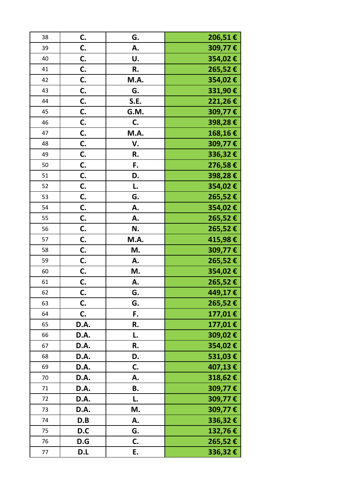| 38 | C.   | G.   | 206,51€ |
|----|------|------|---------|
| 39 | C.   | Α.   | 309,77€ |
| 40 | C.   | U.   | 354,02€ |
| 41 | C.   | R.   | 265,52€ |
| 42 | C.   | M.A. | 354,02€ |
| 43 | C.   | G.   | 331,90€ |
| 44 | C.   | S.E. | 221,26€ |
| 45 | C.   | G.M. | 309,77€ |
| 46 | C.   | C.   | 398,28€ |
| 47 | C.   | M.A. | 168,16€ |
| 48 | C.   | V.   | 309,77€ |
| 49 | C.   | R.   | 336,32€ |
| 50 | C.   | F.   | 276,58€ |
| 51 | C.   | D.   | 398,28€ |
| 52 | C.   | L.   | 354,02€ |
| 53 | C.   | G.   | 265,52€ |
| 54 | C.   | Α.   | 354,02€ |
| 55 | C.   | Α.   | 265,52€ |
| 56 | C.   | N.   | 265,52€ |
| 57 | C.   | M.A. | 415,98€ |
| 58 | C.   | M.   | 309,77€ |
| 59 | C.   | Α.   | 265,52€ |
| 60 | C.   | M.   | 354,02€ |
| 61 | C.   | Α.   | 265,52€ |
| 62 | C.   | G.   | 449,17€ |
| 63 | C.   | G.   | 265,52€ |
| 64 | C.   | F.   | 177,01€ |
| 65 | D.A. | R.   | 177,01€ |
| 66 | D.A. | L.   | 309,02€ |
| 67 | D.A. | R.   | 354,02€ |
| 68 | D.A. | D.   | 531,03€ |
| 69 | D.A. | C.   | 407,13€ |
| 70 | D.A. | А.   | 318,62€ |
| 71 | D.A. | В.   | 309,77€ |
| 72 | D.A. | L.   | 309,77€ |
| 73 | D.A. | M.   | 309,77€ |
| 74 | D.B  | А.   | 336,32€ |
| 75 | D.C  | G.   | 132,76€ |
| 76 | D.G  | C.   | 265,52€ |
| 77 | D.L  | E.   | 336,32€ |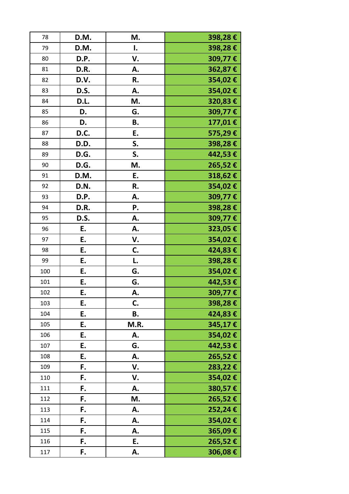| 78  | D.M. | M.   | 398,28€  |
|-----|------|------|----------|
| 79  | D.M. | I.   | 398,28€  |
| 80  | D.P. | V.   | 309,77€  |
| 81  | D.R. | Α.   | 362,87€  |
| 82  | D.V. | R.   | 354,02€  |
| 83  | D.S. | А.   | 354,02€  |
| 84  | D.L. | M.   | 320,83€  |
| 85  | D.   | G.   | 309,77€  |
| 86  | D.   | Β.   | 177,01€  |
| 87  | D.C. | Ε.   | 575,29€  |
| 88  | D.D. | S.   | 398,28€  |
| 89  | D.G. | S.   | 442,53€  |
| 90  | D.G. | M.   | 265,52€  |
| 91  | D.M. | E.   | 318,62€  |
| 92  | D.N. | R.   | 354,02€  |
| 93  | D.P. | А.   | 309,77€  |
| 94  | D.R. | Ρ.   | 398,28€  |
| 95  | D.S. | А.   | 309,77€  |
| 96  | E.   | А.   | 323,05€  |
| 97  | Ε.   | V.   | 354,02€  |
| 98  | E.   | C.   | 424,83€  |
| 99  | E.   | L.   | 398,28€  |
| 100 | E.   | G.   | 354,02€  |
| 101 | Ε.   | G.   | 442,53 € |
| 102 | E.   | А.   | 309,77€  |
| 103 | E.   | C.   | 398,28€  |
| 104 | Ε.   | В.   | 424,83€  |
| 105 | E.   | M.R. | 345,17€  |
| 106 | E.   | А.   | 354,02€  |
| 107 | E.   | G.   | 442,53€  |
| 108 | E.   | А.   | 265,52€  |
| 109 | F.   | V.   | 283,22€  |
| 110 | F.   | V.   | 354,02€  |
| 111 | F.   | А.   | 380,57€  |
| 112 | F.   | M.   | 265,52€  |
| 113 | F.   | А.   | 252,24€  |
| 114 | F.   | А.   | 354,02€  |
| 115 | F.   | А.   | 365,09€  |
| 116 | F.   | E.   | 265,52€  |
| 117 | F.   | А.   | 306,08€  |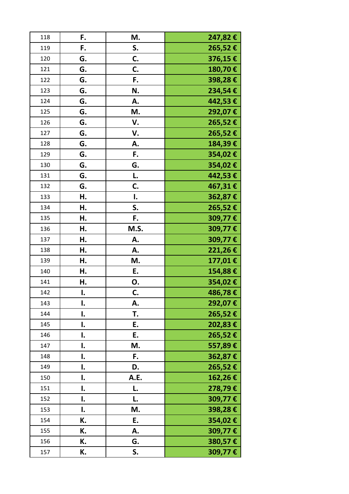| 118 | F. | M.   | 247,82 € |
|-----|----|------|----------|
| 119 | F. | S.   | 265,52€  |
| 120 | G. | C.   | 376,15€  |
| 121 | G. | C.   | 180,70€  |
| 122 | G. | F.   | 398,28€  |
| 123 | G. | N.   | 234,54€  |
| 124 | G. | А.   | 442,53€  |
| 125 | G. | M.   | 292,07€  |
| 126 | G. | V.   | 265,52€  |
| 127 | G. | V.   | 265,52€  |
| 128 | G. | Α.   | 184,39€  |
| 129 | G. | F.   | 354,02€  |
| 130 | G. | G.   | 354,02€  |
| 131 | G. | L.   | 442,53€  |
| 132 | G. | C.   | 467,31€  |
| 133 | Н. | I.   | 362,87€  |
| 134 | Η. | S.   | 265,52€  |
| 135 | Н. | F.   | 309,77€  |
| 136 | Η. | M.S. | 309,77€  |
| 137 | н. | А.   | 309,77€  |
| 138 | Н. | А.   | 221,26€  |
| 139 | Н. | M.   | 177,01€  |
| 140 | Н. | E.   | 154,88€  |
| 141 | Н. | 0.   | 354,02€  |
| 142 | I. | C.   | 486,78€  |
| 143 | I. | А.   | 292,07€  |
| 144 | I. | T.   | 265,52€  |
| 145 | I. | E.   | 202,83€  |
| 146 | I. | E.   | 265,52€  |
| 147 | I. | M.   | 557,89€  |
| 148 | I. | F.   | 362,87€  |
| 149 | I. | D.   | 265,52€  |
| 150 | I. | A.E. | 162,26€  |
| 151 | I. | L.   | 278,79€  |
| 152 | I. | L.   | 309,77€  |
| 153 | I. | M.   | 398,28€  |
| 154 | К. | Ε.   | 354,02€  |
| 155 | К. | А.   | 309,77€  |
| 156 | К. | G.   | 380,57€  |
| 157 | К. | S.   | 309,77€  |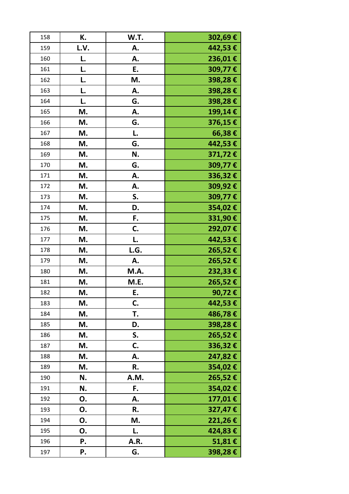| 158 | К.   | W.T. | 302,69€    |
|-----|------|------|------------|
| 159 | L.V. | А.   | 442,53 €   |
| 160 | L.   | А.   | 236,01€    |
| 161 | L.   | E.   | 309,77€    |
| 162 | L.   | M.   | 398,28€    |
| 163 | L.   | Α.   | 398,28€    |
| 164 | L.   | G.   | 398,28€    |
| 165 | М.   | Α.   | 199,14€    |
| 166 | M.   | G.   | 376,15€    |
| 167 | M.   | L.   | 66,38€     |
| 168 | M.   | G.   | 442,53 €   |
| 169 | M.   | N.   | 371,72€    |
| 170 | M.   | G.   | 309,77€    |
| 171 | M.   | А.   | 336,32€    |
| 172 | M.   | А.   | 309,92€    |
| 173 | M.   | S.   | 309,77€    |
| 174 | M.   | D.   | 354,02€    |
| 175 | M.   | F.   | 331,90€    |
| 176 | M.   | C.   | 292,07€    |
| 177 | M.   | L.   | 442,53 €   |
| 178 | M.   | L.G. | 265,52€    |
| 179 | М.   | Α.   | 265,52€    |
| 180 | M.   | M.A. | $232,33$ € |
| 181 | M.   | M.E. | 265,52€    |
| 182 | М.   | Ε.   | 90,72€     |
| 183 | M.   | C.   | 442,53 €   |
| 184 | М.   | T.   | 486,78€    |
| 185 | M.   | D.   | 398,28€    |
| 186 | M.   | S.   | 265,52€    |
| 187 | M.   | C.   | 336,32€    |
| 188 | M.   | А.   | 247,82€    |
| 189 | M.   | R.   | 354,02€    |
| 190 | N.   | A.M. | 265,52€    |
| 191 | N.   | F.   | 354,02€    |
| 192 | Ο.   | А.   | 177,01€    |
| 193 | Ο.   | R.   | 327,47€    |
| 194 | О.   | M.   | 221,26€    |
| 195 | О.   | L.   | 424,83€    |
| 196 | Ρ.   | A.R. | 51,81€     |
| 197 | Ρ.   | G.   | 398,28€    |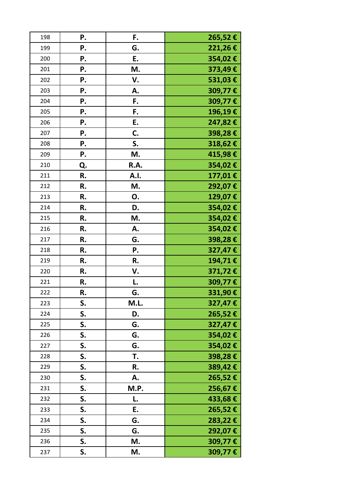| 198 | Ρ. | F.   | 265,52€ |
|-----|----|------|---------|
| 199 | Ρ. | G.   | 221,26€ |
| 200 | Ρ. | E.   | 354,02€ |
| 201 | Ρ. | M.   | 373,49€ |
| 202 | Ρ. | V.   | 531,03€ |
| 203 | Ρ. | Α.   | 309,77€ |
| 204 | Ρ. | F.   | 309,77€ |
| 205 | Ρ. | F.   | 196,19€ |
| 206 | Ρ. | E.   | 247,82€ |
| 207 | Ρ. | C.   | 398,28€ |
| 208 | Ρ. | S.   | 318,62€ |
| 209 | Ρ. | M.   | 415,98€ |
| 210 | Q. | R.A. | 354,02€ |
| 211 | R. | A.I. | 177,01€ |
| 212 | R. | M.   | 292,07€ |
| 213 | R. | 0.   | 129,07€ |
| 214 | R. | D.   | 354,02€ |
| 215 | R. | M.   | 354,02€ |
| 216 | R. | А.   | 354,02€ |
| 217 | R. | G.   | 398,28€ |
| 218 | R. | Ρ.   | 327,47€ |
| 219 | R. | R.   | 194,71€ |
| 220 | R. | V.   | 371,72€ |
| 221 | R. | L.   | 309,77€ |
| 222 | R. | G.   | 331,90€ |
| 223 | S. | M.L. | 327,47€ |
| 224 | S. | D.   | 265,52€ |
| 225 | S. | G.   | 327,47€ |
| 226 | S. | G.   | 354,02€ |
| 227 | S. | G.   | 354,02€ |
| 228 | S. | T.   | 398,28€ |
| 229 | S. | R.   | 389,42€ |
| 230 | S. | А.   | 265,52€ |
| 231 | S. | M.P. | 256,67€ |
| 232 | S. | L.   | 433,68€ |
| 233 | S. | E.   | 265,52€ |
| 234 | S. | G.   | 283,22€ |
| 235 | S. | G.   | 292,07€ |
| 236 | S. | M.   | 309,77€ |
| 237 | S. | M.   | 309,77€ |